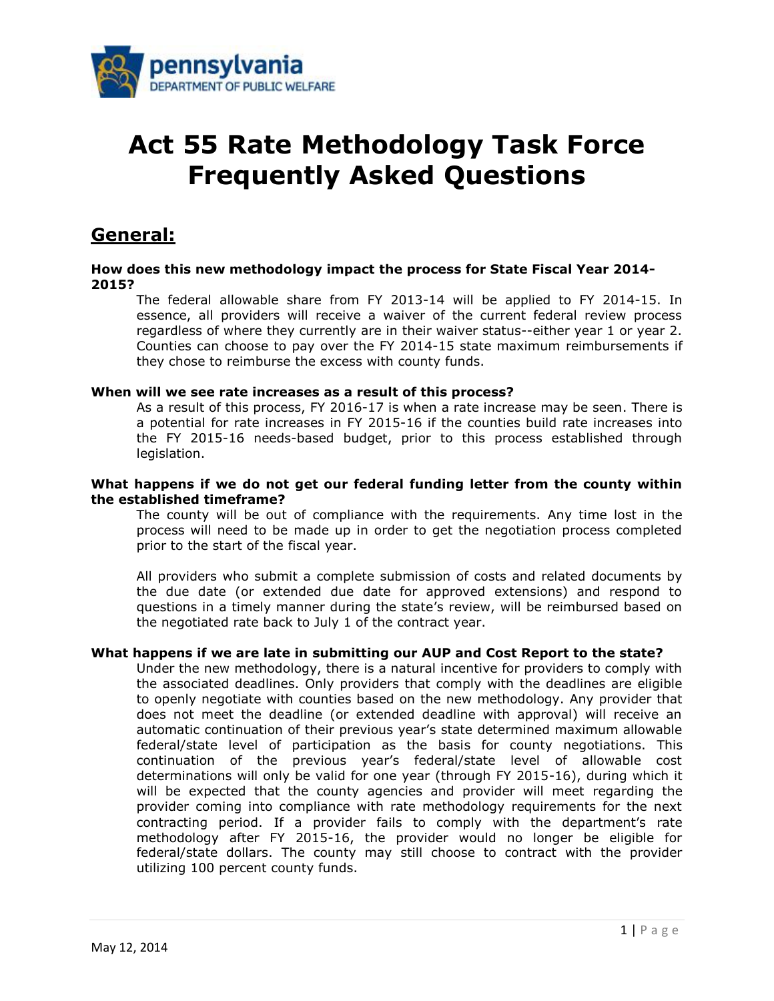

# **Act 55 Rate Methodology Task Force Frequently Asked Questions**

## **General:**

#### **How does this new methodology impact the process for State Fiscal Year 2014- 2015?**

The federal allowable share from FY 2013-14 will be applied to FY 2014-15. In essence, all providers will receive a waiver of the current federal review process regardless of where they currently are in their waiver status--either year 1 or year 2. Counties can choose to pay over the FY 2014-15 state maximum reimbursements if they chose to reimburse the excess with county funds.

#### **When will we see rate increases as a result of this process?**

As a result of this process, FY 2016-17 is when a rate increase may be seen. There is a potential for rate increases in FY 2015-16 if the counties build rate increases into the FY 2015-16 needs-based budget, prior to this process established through legislation.

#### **What happens if we do not get our federal funding letter from the county within the established timeframe?**

The county will be out of compliance with the requirements. Any time lost in the process will need to be made up in order to get the negotiation process completed prior to the start of the fiscal year.

All providers who submit a complete submission of costs and related documents by the due date (or extended due date for approved extensions) and respond to questions in a timely manner during the state's review, will be reimbursed based on the negotiated rate back to July 1 of the contract year.

#### **What happens if we are late in submitting our AUP and Cost Report to the state?**

Under the new methodology, there is a natural incentive for providers to comply with the associated deadlines. Only providers that comply with the deadlines are eligible to openly negotiate with counties based on the new methodology. Any provider that does not meet the deadline (or extended deadline with approval) will receive an automatic continuation of their previous year's state determined maximum allowable federal/state level of participation as the basis for county negotiations. This continuation of the previous year's federal/state level of allowable cost determinations will only be valid for one year (through FY 2015-16), during which it will be expected that the county agencies and provider will meet regarding the provider coming into compliance with rate methodology requirements for the next contracting period. If a provider fails to comply with the department's rate methodology after FY 2015-16, the provider would no longer be eligible for federal/state dollars. The county may still choose to contract with the provider utilizing 100 percent county funds.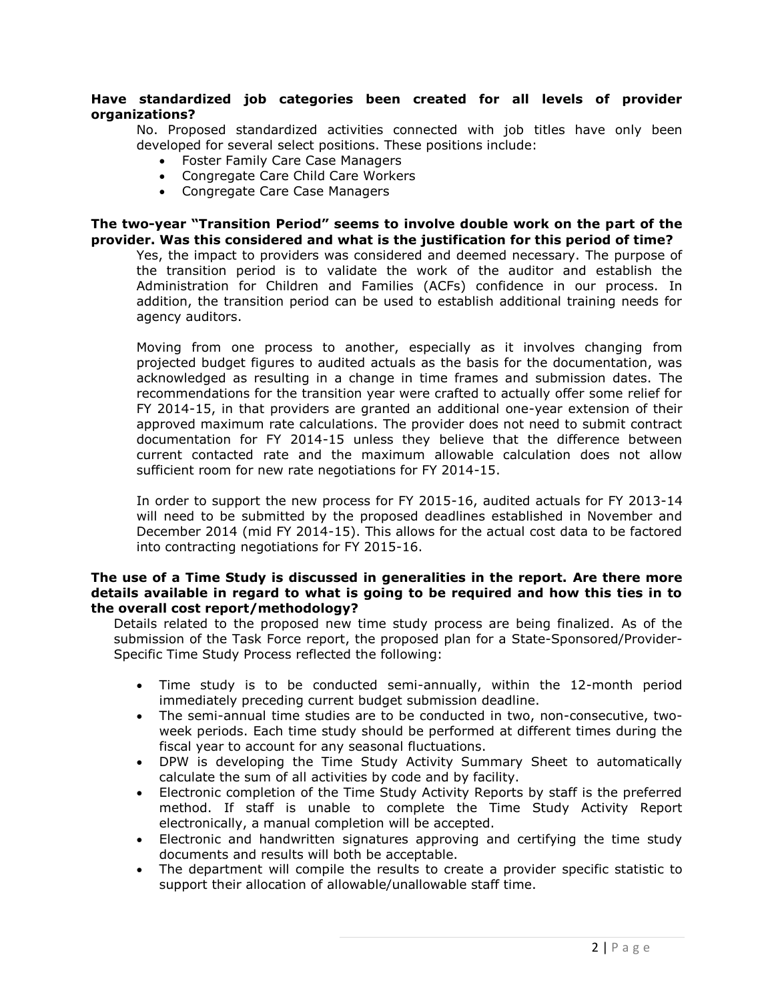#### **Have standardized job categories been created for all levels of provider organizations?**

No. Proposed standardized activities connected with job titles have only been developed for several select positions. These positions include:

- Foster Family Care Case Managers
- Congregate Care Child Care Workers
- Congregate Care Case Managers

#### **The two-year "Transition Period" seems to involve double work on the part of the provider. Was this considered and what is the justification for this period of time?**

Yes, the impact to providers was considered and deemed necessary. The purpose of the transition period is to validate the work of the auditor and establish the Administration for Children and Families (ACFs) confidence in our process. In addition, the transition period can be used to establish additional training needs for agency auditors.

Moving from one process to another, especially as it involves changing from projected budget figures to audited actuals as the basis for the documentation, was acknowledged as resulting in a change in time frames and submission dates. The recommendations for the transition year were crafted to actually offer some relief for FY 2014-15, in that providers are granted an additional one-year extension of their approved maximum rate calculations. The provider does not need to submit contract documentation for FY 2014-15 unless they believe that the difference between current contacted rate and the maximum allowable calculation does not allow sufficient room for new rate negotiations for FY 2014-15.

In order to support the new process for FY 2015-16, audited actuals for FY 2013-14 will need to be submitted by the proposed deadlines established in November and December 2014 (mid FY 2014-15). This allows for the actual cost data to be factored into contracting negotiations for FY 2015-16.

#### **The use of a Time Study is discussed in generalities in the report. Are there more details available in regard to what is going to be required and how this ties in to the overall cost report/methodology?**

Details related to the proposed new time study process are being finalized. As of the submission of the Task Force report, the proposed plan for a State-Sponsored/Provider-Specific Time Study Process reflected the following:

- Time study is to be conducted semi-annually, within the 12-month period immediately preceding current budget submission deadline.
- The semi-annual time studies are to be conducted in two, non-consecutive, twoweek periods. Each time study should be performed at different times during the fiscal year to account for any seasonal fluctuations.
- DPW is developing the Time Study Activity Summary Sheet to automatically calculate the sum of all activities by code and by facility.
- Electronic completion of the Time Study Activity Reports by staff is the preferred method. If staff is unable to complete the Time Study Activity Report electronically, a manual completion will be accepted.
- Electronic and handwritten signatures approving and certifying the time study documents and results will both be acceptable.
- The department will compile the results to create a provider specific statistic to support their allocation of allowable/unallowable staff time.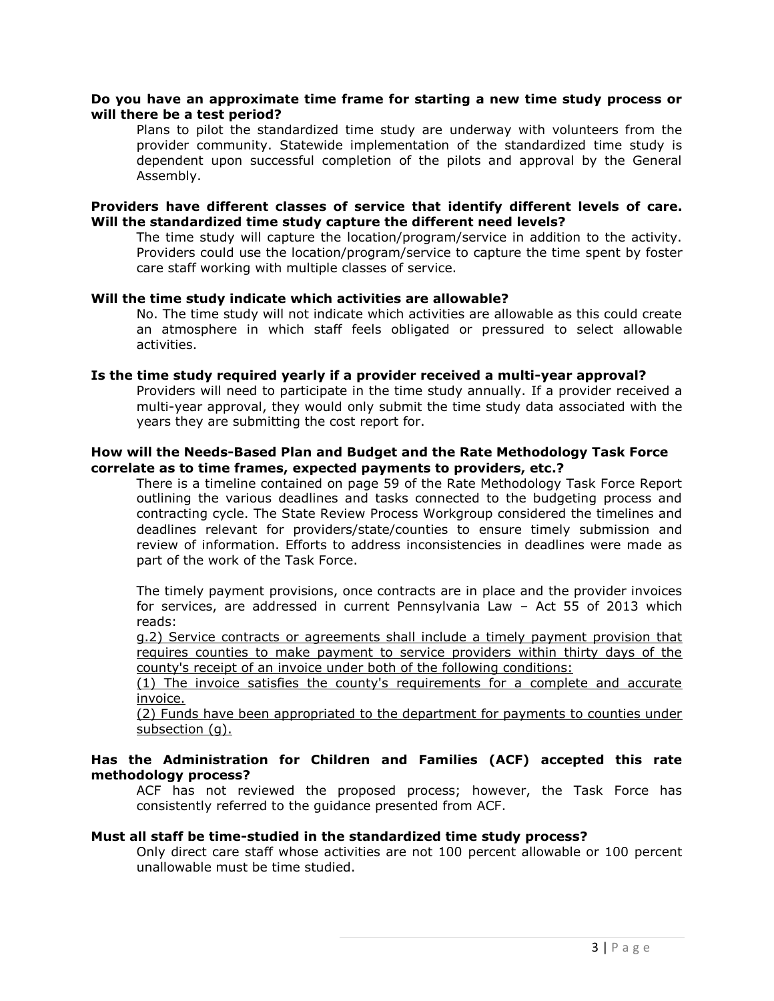#### **Do you have an approximate time frame for starting a new time study process or will there be a test period?**

Plans to pilot the standardized time study are underway with volunteers from the provider community. Statewide implementation of the standardized time study is dependent upon successful completion of the pilots and approval by the General Assembly.

#### **Providers have different classes of service that identify different levels of care. Will the standardized time study capture the different need levels?**

The time study will capture the location/program/service in addition to the activity. Providers could use the location/program/service to capture the time spent by foster care staff working with multiple classes of service.

#### **Will the time study indicate which activities are allowable?**

No. The time study will not indicate which activities are allowable as this could create an atmosphere in which staff feels obligated or pressured to select allowable activities.

#### **Is the time study required yearly if a provider received a multi-year approval?**

Providers will need to participate in the time study annually. If a provider received a multi-year approval, they would only submit the time study data associated with the years they are submitting the cost report for.

#### **How will the Needs-Based Plan and Budget and the Rate Methodology Task Force correlate as to time frames, expected payments to providers, etc.?**

There is a timeline contained on page 59 of the Rate Methodology Task Force Report outlining the various deadlines and tasks connected to the budgeting process and contracting cycle. The State Review Process Workgroup considered the timelines and deadlines relevant for providers/state/counties to ensure timely submission and review of information. Efforts to address inconsistencies in deadlines were made as part of the work of the Task Force.

The timely payment provisions, once contracts are in place and the provider invoices for services, are addressed in current Pennsylvania Law – Act 55 of 2013 which reads:

g.2) Service contracts or agreements shall include a timely payment provision that requires counties to make payment to service providers within thirty days of the county's receipt of an invoice under both of the following conditions:

(1) The invoice satisfies the county's requirements for a complete and accurate invoice.

(2) Funds have been appropriated to the department for payments to counties under subsection (q).

#### **Has the Administration for Children and Families (ACF) accepted this rate methodology process?**

ACF has not reviewed the proposed process; however, the Task Force has consistently referred to the guidance presented from ACF.

#### **Must all staff be time-studied in the standardized time study process?**

Only direct care staff whose activities are not 100 percent allowable or 100 percent unallowable must be time studied.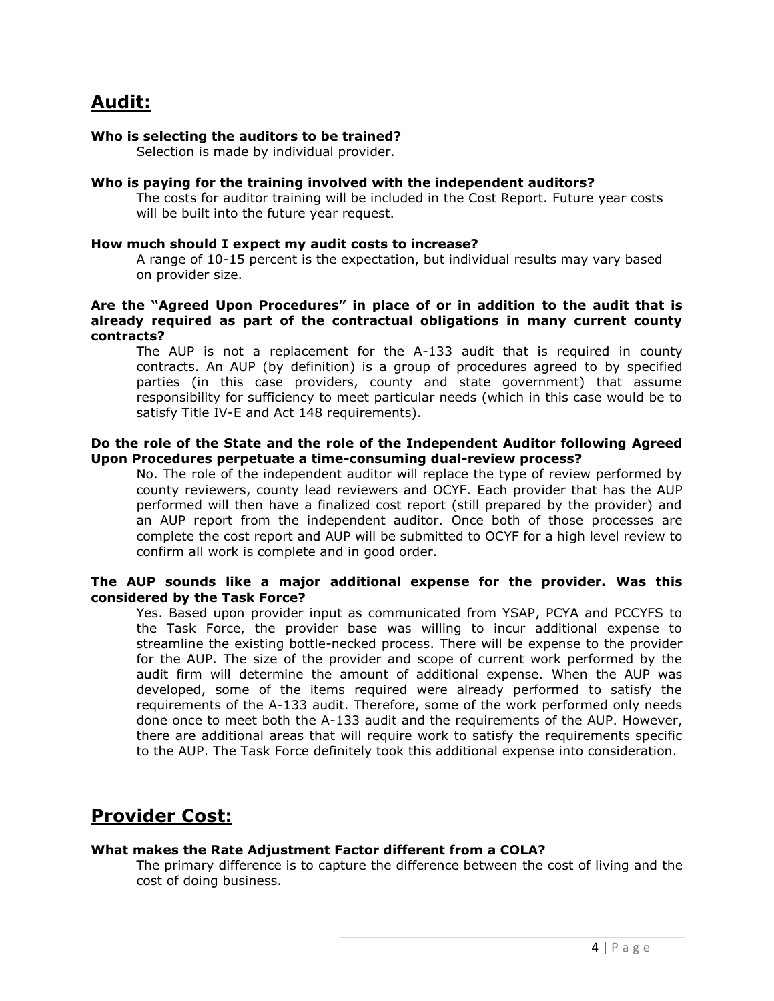# **Audit:**

#### **Who is selecting the auditors to be trained?**

Selection is made by individual provider.

#### **Who is paying for the training involved with the independent auditors?**

The costs for auditor training will be included in the Cost Report. Future year costs will be built into the future year request.

#### **How much should I expect my audit costs to increase?**

A range of 10-15 percent is the expectation, but individual results may vary based on provider size.

#### **Are the "Agreed Upon Procedures" in place of or in addition to the audit that is already required as part of the contractual obligations in many current county contracts?**

The AUP is not a replacement for the A-133 audit that is required in county contracts. An AUP (by definition) is a group of procedures agreed to by specified parties (in this case providers, county and state government) that assume responsibility for sufficiency to meet particular needs (which in this case would be to satisfy Title IV-E and Act 148 requirements).

#### **Do the role of the State and the role of the Independent Auditor following Agreed Upon Procedures perpetuate a time-consuming dual-review process?**

No. The role of the independent auditor will replace the type of review performed by county reviewers, county lead reviewers and OCYF. Each provider that has the AUP performed will then have a finalized cost report (still prepared by the provider) and an AUP report from the independent auditor. Once both of those processes are complete the cost report and AUP will be submitted to OCYF for a high level review to confirm all work is complete and in good order.

#### **The AUP sounds like a major additional expense for the provider. Was this considered by the Task Force?**

Yes. Based upon provider input as communicated from YSAP, PCYA and PCCYFS to the Task Force, the provider base was willing to incur additional expense to streamline the existing bottle-necked process. There will be expense to the provider for the AUP. The size of the provider and scope of current work performed by the audit firm will determine the amount of additional expense. When the AUP was developed, some of the items required were already performed to satisfy the requirements of the A-133 audit. Therefore, some of the work performed only needs done once to meet both the A-133 audit and the requirements of the AUP. However, there are additional areas that will require work to satisfy the requirements specific to the AUP. The Task Force definitely took this additional expense into consideration.

### **Provider Cost:**

#### **What makes the Rate Adjustment Factor different from a COLA?**

The primary difference is to capture the difference between the cost of living and the cost of doing business.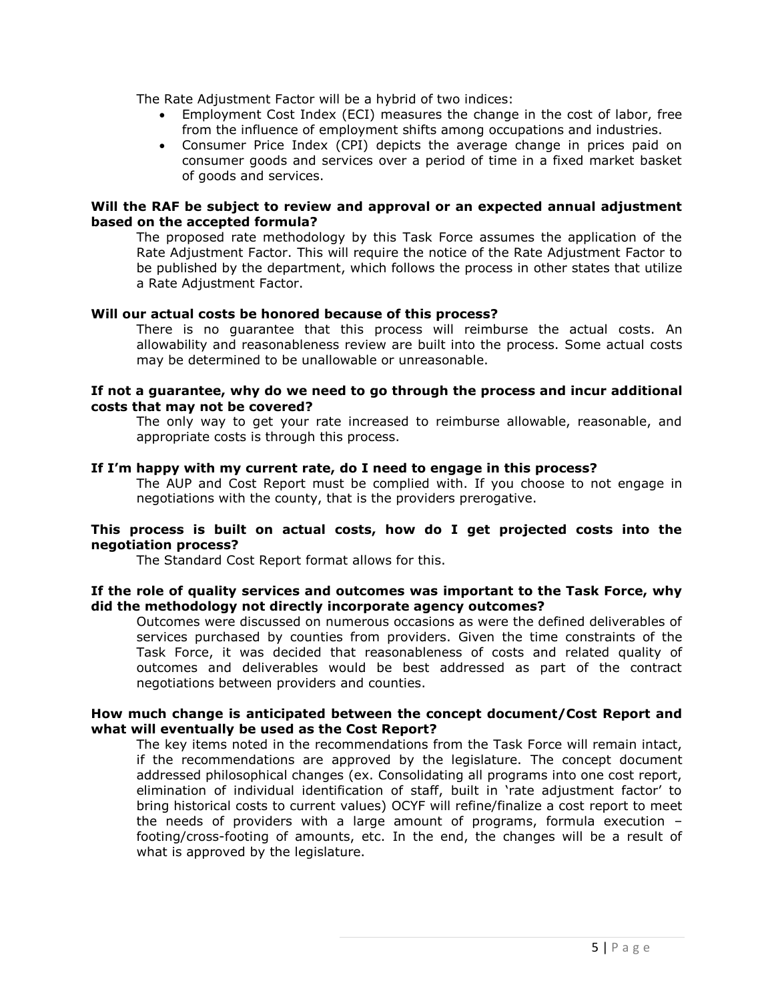The Rate Adjustment Factor will be a hybrid of two indices:

- Employment Cost Index (ECI) measures the change in the cost of labor, free from the influence of employment shifts among occupations and industries.
- Consumer Price Index (CPI) depicts the average change in prices paid on consumer goods and services over a period of time in a fixed market basket of goods and services.

#### **Will the RAF be subject to review and approval or an expected annual adjustment based on the accepted formula?**

The proposed rate methodology by this Task Force assumes the application of the Rate Adjustment Factor. This will require the notice of the Rate Adjustment Factor to be published by the department, which follows the process in other states that utilize a Rate Adjustment Factor.

#### **Will our actual costs be honored because of this process?**

There is no guarantee that this process will reimburse the actual costs. An allowability and reasonableness review are built into the process. Some actual costs may be determined to be unallowable or unreasonable.

#### **If not a guarantee, why do we need to go through the process and incur additional costs that may not be covered?**

The only way to get your rate increased to reimburse allowable, reasonable, and appropriate costs is through this process.

#### **If I'm happy with my current rate, do I need to engage in this process?**

The AUP and Cost Report must be complied with. If you choose to not engage in negotiations with the county, that is the providers prerogative.

#### **This process is built on actual costs, how do I get projected costs into the negotiation process?**

The Standard Cost Report format allows for this.

#### **If the role of quality services and outcomes was important to the Task Force, why did the methodology not directly incorporate agency outcomes?**

Outcomes were discussed on numerous occasions as were the defined deliverables of services purchased by counties from providers. Given the time constraints of the Task Force, it was decided that reasonableness of costs and related quality of outcomes and deliverables would be best addressed as part of the contract negotiations between providers and counties.

#### **How much change is anticipated between the concept document/Cost Report and what will eventually be used as the Cost Report?**

The key items noted in the recommendations from the Task Force will remain intact, if the recommendations are approved by the legislature. The concept document addressed philosophical changes (ex. Consolidating all programs into one cost report, elimination of individual identification of staff, built in 'rate adjustment factor' to bring historical costs to current values) OCYF will refine/finalize a cost report to meet the needs of providers with a large amount of programs, formula execution – footing/cross-footing of amounts, etc. In the end, the changes will be a result of what is approved by the legislature.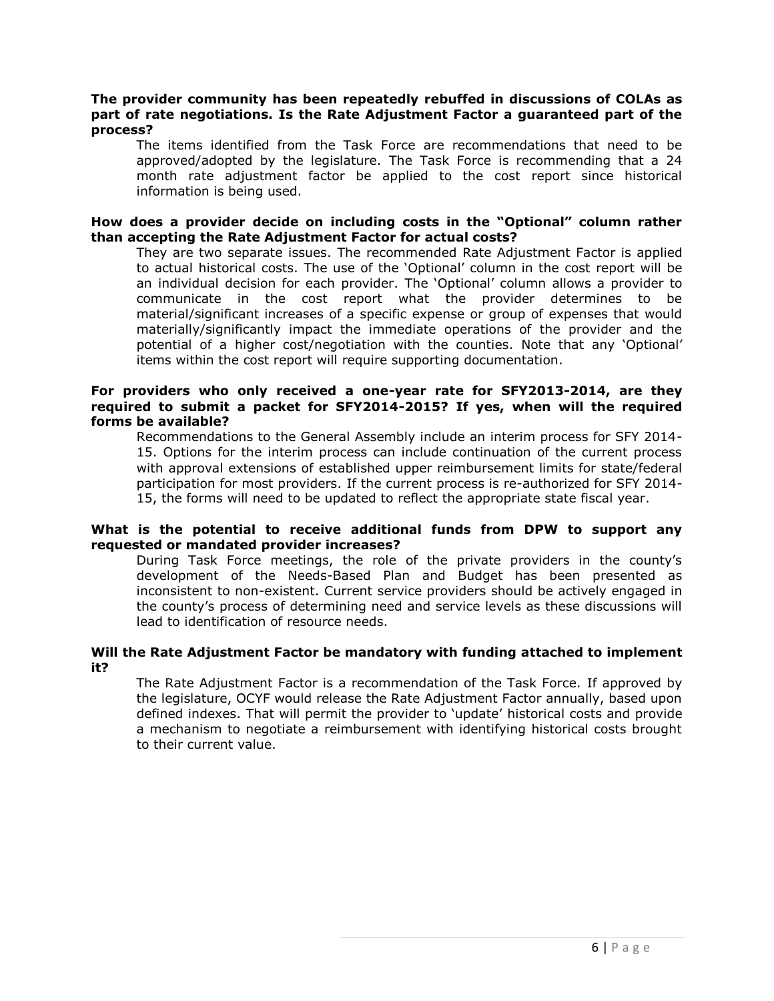#### **The provider community has been repeatedly rebuffed in discussions of COLAs as part of rate negotiations. Is the Rate Adjustment Factor a guaranteed part of the process?**

The items identified from the Task Force are recommendations that need to be approved/adopted by the legislature. The Task Force is recommending that a 24 month rate adjustment factor be applied to the cost report since historical information is being used.

#### **How does a provider decide on including costs in the "Optional" column rather than accepting the Rate Adjustment Factor for actual costs?**

They are two separate issues. The recommended Rate Adjustment Factor is applied to actual historical costs. The use of the 'Optional' column in the cost report will be an individual decision for each provider. The 'Optional' column allows a provider to communicate in the cost report what the provider determines to be material/significant increases of a specific expense or group of expenses that would materially/significantly impact the immediate operations of the provider and the potential of a higher cost/negotiation with the counties. Note that any 'Optional' items within the cost report will require supporting documentation.

#### **For providers who only received a one-year rate for SFY2013-2014, are they required to submit a packet for SFY2014-2015? If yes, when will the required forms be available?**

Recommendations to the General Assembly include an interim process for SFY 2014- 15. Options for the interim process can include continuation of the current process with approval extensions of established upper reimbursement limits for state/federal participation for most providers. If the current process is re-authorized for SFY 2014- 15, the forms will need to be updated to reflect the appropriate state fiscal year.

#### **What is the potential to receive additional funds from DPW to support any requested or mandated provider increases?**

During Task Force meetings, the role of the private providers in the county's development of the Needs-Based Plan and Budget has been presented as inconsistent to non-existent. Current service providers should be actively engaged in the county's process of determining need and service levels as these discussions will lead to identification of resource needs.

#### **Will the Rate Adjustment Factor be mandatory with funding attached to implement it?**

The Rate Adjustment Factor is a recommendation of the Task Force. If approved by the legislature, OCYF would release the Rate Adjustment Factor annually, based upon defined indexes. That will permit the provider to 'update' historical costs and provide a mechanism to negotiate a reimbursement with identifying historical costs brought to their current value.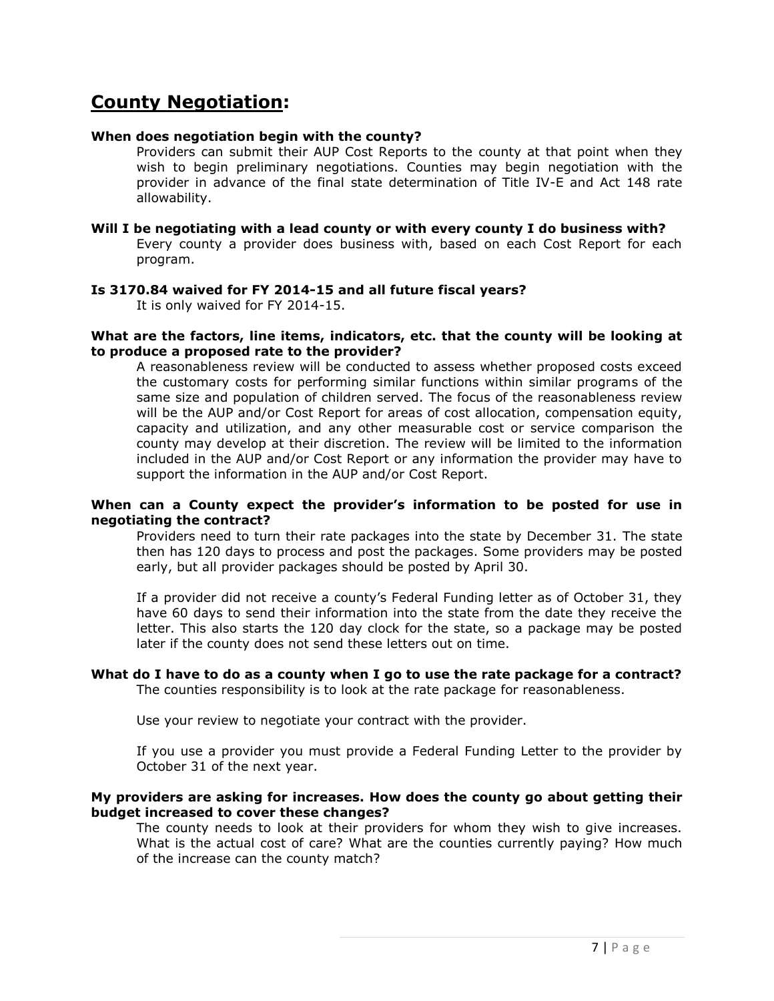## **County Negotiation:**

#### **When does negotiation begin with the county?**

Providers can submit their AUP Cost Reports to the county at that point when they wish to begin preliminary negotiations. Counties may begin negotiation with the provider in advance of the final state determination of Title IV-E and Act 148 rate allowability.

#### **Will I be negotiating with a lead county or with every county I do business with?**

Every county a provider does business with, based on each Cost Report for each program.

#### **Is 3170.84 waived for FY 2014-15 and all future fiscal years?**

It is only waived for FY 2014-15.

#### **What are the factors, line items, indicators, etc. that the county will be looking at to produce a proposed rate to the provider?**

A reasonableness review will be conducted to assess whether proposed costs exceed the customary costs for performing similar functions within similar programs of the same size and population of children served. The focus of the reasonableness review will be the AUP and/or Cost Report for areas of cost allocation, compensation equity, capacity and utilization, and any other measurable cost or service comparison the county may develop at their discretion. The review will be limited to the information included in the AUP and/or Cost Report or any information the provider may have to support the information in the AUP and/or Cost Report.

#### **When can a County expect the provider's information to be posted for use in negotiating the contract?**

Providers need to turn their rate packages into the state by December 31. The state then has 120 days to process and post the packages. Some providers may be posted early, but all provider packages should be posted by April 30.

If a provider did not receive a county's Federal Funding letter as of October 31, they have 60 days to send their information into the state from the date they receive the letter. This also starts the 120 day clock for the state, so a package may be posted later if the county does not send these letters out on time.

#### **What do I have to do as a county when I go to use the rate package for a contract?**

The counties responsibility is to look at the rate package for reasonableness.

Use your review to negotiate your contract with the provider.

If you use a provider you must provide a Federal Funding Letter to the provider by October 31 of the next year.

#### **My providers are asking for increases. How does the county go about getting their budget increased to cover these changes?**

The county needs to look at their providers for whom they wish to give increases. What is the actual cost of care? What are the counties currently paying? How much of the increase can the county match?